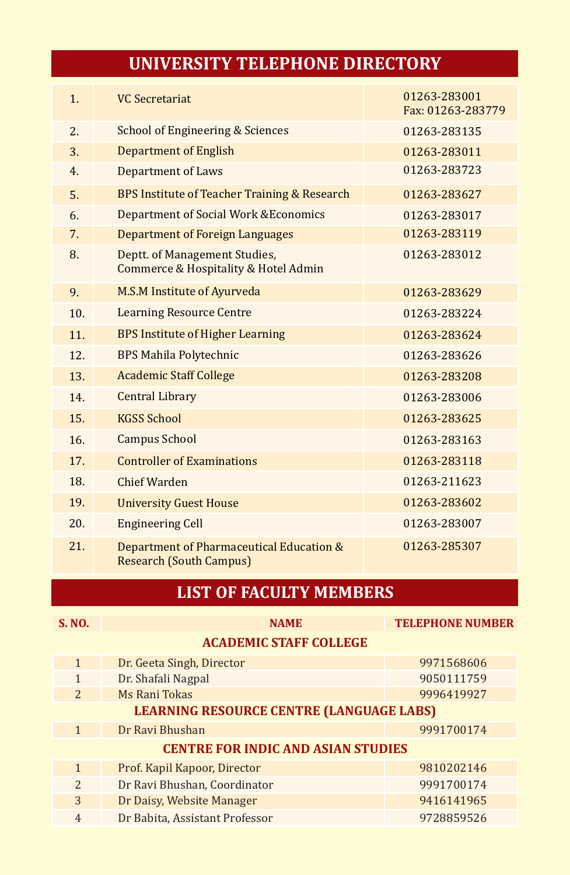## **LIST OF FACULTY MEMBERS**

| S. NO.                                    | <b>NAME</b>                    | <b>TELEPHONE NUMBER</b> |  |  |  |
|-------------------------------------------|--------------------------------|-------------------------|--|--|--|
| <b>ACADEMIC STAFF COLLEGE</b>             |                                |                         |  |  |  |
| $\mathbf{1}$                              | Dr. Geeta Singh, Director      | 9971568606              |  |  |  |
| $\mathbf{1}$                              | Dr. Shafali Nagpal             | 9050111759              |  |  |  |
| $\overline{2}$                            | Ms Rani Tokas                  | 9996419927              |  |  |  |
| LEARNING RESOURCE CENTRE (LANGUAGE LABS)  |                                |                         |  |  |  |
| $\mathbf{1}$                              | Dr Ravi Bhushan                | 9991700174              |  |  |  |
| <b>CENTRE FOR INDIC AND ASIAN STUDIES</b> |                                |                         |  |  |  |
| $\mathbf{1}$                              | Prof. Kapil Kapoor, Director   | 9810202146              |  |  |  |
| $\overline{2}$                            | Dr Ravi Bhushan, Coordinator   | 9991700174              |  |  |  |
| 3                                         | Dr Daisy, Website Manager      | 9416141965              |  |  |  |
| $\overline{4}$                            | Dr Babita, Assistant Professor | 9728859526              |  |  |  |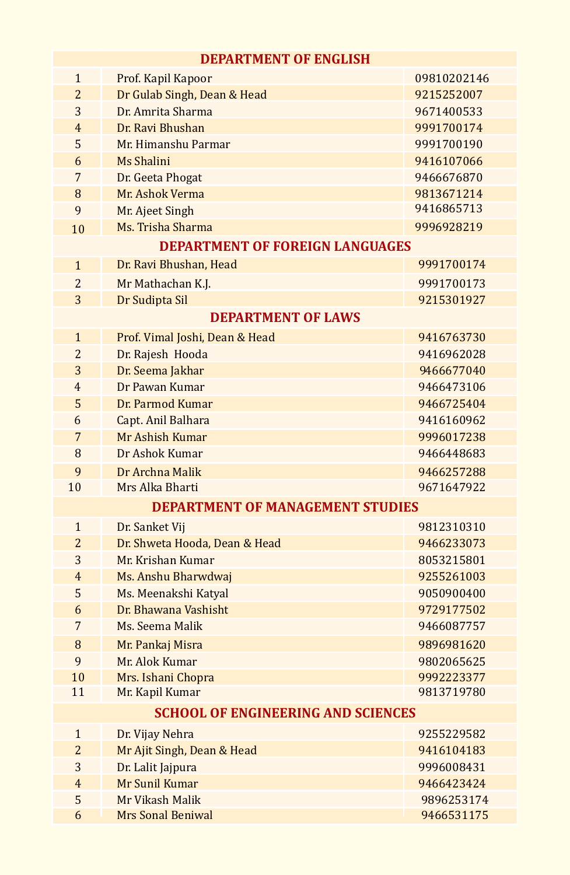| <b>DEPARTMENT OF ENGLISH</b>              |                                         |                          |  |  |  |
|-------------------------------------------|-----------------------------------------|--------------------------|--|--|--|
| $\mathbf{1}$                              | Prof. Kapil Kapoor                      | 09810202146              |  |  |  |
| $\overline{2}$                            | Dr Gulab Singh, Dean & Head             | 9215252007               |  |  |  |
| 3                                         | Dr. Amrita Sharma                       | 9671400533               |  |  |  |
| $\overline{4}$                            | Dr. Ravi Bhushan                        | 9991700174               |  |  |  |
| 5                                         | Mr. Himanshu Parmar                     | 9991700190               |  |  |  |
| 6                                         | Ms Shalini                              | 9416107066               |  |  |  |
| 7                                         | Dr. Geeta Phogat                        | 9466676870               |  |  |  |
| 8                                         | Mr. Ashok Verma                         | 9813671214               |  |  |  |
| 9                                         | Mr. Ajeet Singh                         | 9416865713               |  |  |  |
| 10                                        | Ms. Trisha Sharma                       | 9996928219               |  |  |  |
|                                           | <b>DEPARTMENT OF FOREIGN LANGUAGES</b>  |                          |  |  |  |
| $\mathbf{1}$                              | Dr. Ravi Bhushan, Head                  | 9991700174               |  |  |  |
| $\overline{2}$                            | Mr Mathachan K.J.                       | 9991700173               |  |  |  |
| 3                                         | Dr Sudipta Sil                          | 9215301927               |  |  |  |
| <b>DEPARTMENT OF LAWS</b>                 |                                         |                          |  |  |  |
|                                           |                                         | 9416763730               |  |  |  |
| $\mathbf{1}$<br>$\overline{2}$            | Prof. Vimal Joshi, Dean & Head          |                          |  |  |  |
| 3                                         | Dr. Rajesh Hooda                        | 9416962028<br>9466677040 |  |  |  |
| $\overline{4}$                            | Dr. Seema Jakhar<br>Dr Pawan Kumar      | 9466473106               |  |  |  |
| 5                                         |                                         | 9466725404               |  |  |  |
|                                           | Dr. Parmod Kumar                        |                          |  |  |  |
| 6<br>7                                    | Capt. Anil Balhara<br>Mr Ashish Kumar   | 9416160962               |  |  |  |
|                                           |                                         | 9996017238               |  |  |  |
| 8                                         | Dr Ashok Kumar                          | 9466448683               |  |  |  |
| 9                                         | Dr Archna Malik<br>Mrs Alka Bharti      | 9466257288               |  |  |  |
| 10                                        |                                         | 9671647922               |  |  |  |
|                                           | <b>DEPARTMENT OF MANAGEMENT STUDIES</b> |                          |  |  |  |
| $\mathbf{1}$                              | Dr. Sanket Vij                          | 9812310310               |  |  |  |
| $\overline{2}$                            | Dr. Shweta Hooda, Dean & Head           | 9466233073               |  |  |  |
| 3                                         | Mr. Krishan Kumar                       | 8053215801               |  |  |  |
| $\overline{4}$                            | Ms. Anshu Bharwdwaj                     | 9255261003               |  |  |  |
| 5                                         | Ms. Meenakshi Katyal                    | 9050900400               |  |  |  |
| 6                                         | Dr. Bhawana Vashisht                    | 9729177502               |  |  |  |
| 7                                         | Ms. Seema Malik                         | 9466087757               |  |  |  |
| 8                                         | Mr. Pankaj Misra                        | 9896981620               |  |  |  |
| 9                                         | Mr. Alok Kumar                          | 9802065625               |  |  |  |
| 10                                        | Mrs. Ishani Chopra                      | 9992223377               |  |  |  |
| 11                                        | Mr. Kapil Kumar                         | 9813719780               |  |  |  |
| <b>SCHOOL OF ENGINEERING AND SCIENCES</b> |                                         |                          |  |  |  |
| $\mathbf{1}$                              | Dr. Vijay Nehra                         | 9255229582               |  |  |  |
| $\overline{2}$                            | Mr Ajit Singh, Dean & Head              | 9416104183               |  |  |  |
| 3                                         | Dr. Lalit Jajpura                       | 9996008431               |  |  |  |
| $\overline{4}$                            | Mr Sunil Kumar                          | 9466423424               |  |  |  |
| 5                                         | Mr Vikash Malik                         | 9896253174               |  |  |  |
| 6                                         | <b>Mrs Sonal Beniwal</b>                | 9466531175               |  |  |  |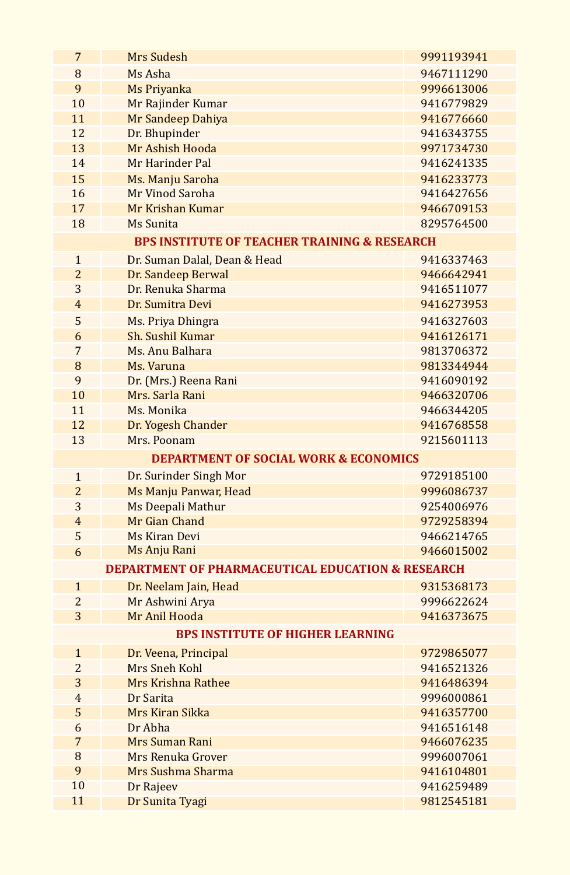| 7              | Mrs Sudesh                                                   | 9991193941 |  |  |  |
|----------------|--------------------------------------------------------------|------------|--|--|--|
| 8              | Ms Asha                                                      | 9467111290 |  |  |  |
| 9              | Ms Priyanka                                                  | 9996613006 |  |  |  |
| 10             | Mr Rajinder Kumar                                            | 9416779829 |  |  |  |
| 11             | Mr Sandeep Dahiya                                            | 9416776660 |  |  |  |
| 12             | Dr. Bhupinder                                                | 9416343755 |  |  |  |
| 13             | Mr Ashish Hooda                                              | 9971734730 |  |  |  |
| 14             | Mr Harinder Pal                                              | 9416241335 |  |  |  |
| 15             | Ms. Manju Saroha                                             | 9416233773 |  |  |  |
| 16             | Mr Vinod Saroha                                              | 9416427656 |  |  |  |
| 17             | Mr Krishan Kumar                                             | 9466709153 |  |  |  |
| 18             | Ms Sunita                                                    | 8295764500 |  |  |  |
|                | <b>BPS INSTITUTE OF TEACHER TRAINING &amp; RESEARCH</b>      |            |  |  |  |
| $\mathbf{1}$   | Dr. Suman Dalal, Dean & Head                                 | 9416337463 |  |  |  |
| $\overline{2}$ | Dr. Sandeep Berwal                                           | 9466642941 |  |  |  |
| 3              | Dr. Renuka Sharma                                            | 9416511077 |  |  |  |
| $\overline{4}$ | Dr. Sumitra Devi                                             | 9416273953 |  |  |  |
| 5              | Ms. Priya Dhingra                                            | 9416327603 |  |  |  |
| 6              | Sh. Sushil Kumar                                             | 9416126171 |  |  |  |
| 7              | Ms. Anu Balhara                                              | 9813706372 |  |  |  |
| 8              | Ms. Varuna                                                   | 9813344944 |  |  |  |
| 9              | Dr. (Mrs.) Reena Rani                                        | 9416090192 |  |  |  |
| 10             | Mrs. Sarla Rani                                              | 9466320706 |  |  |  |
| 11             | Ms. Monika                                                   | 9466344205 |  |  |  |
| 12             | Dr. Yogesh Chander                                           | 9416768558 |  |  |  |
| 13             | Mrs. Poonam                                                  | 9215601113 |  |  |  |
|                | <b>DEPARTMENT OF SOCIAL WORK &amp; ECONOMICS</b>             |            |  |  |  |
| $\mathbf{1}$   | Dr. Surinder Singh Mor                                       | 9729185100 |  |  |  |
| $\overline{2}$ | Ms Manju Panwar, Head                                        | 9996086737 |  |  |  |
| 3              | Ms Deepali Mathur                                            | 9254006976 |  |  |  |
| $\overline{4}$ | Mr Gian Chand                                                | 9729258394 |  |  |  |
| 5              | Ms Kiran Devi                                                | 9466214765 |  |  |  |
| 6              | Ms Anju Rani                                                 | 9466015002 |  |  |  |
|                | <b>DEPARTMENT OF PHARMACEUTICAL EDUCATION &amp; RESEARCH</b> |            |  |  |  |
| $\mathbf{1}$   | Dr. Neelam Jain, Head                                        | 9315368173 |  |  |  |
| $\overline{2}$ | Mr Ashwini Arya                                              | 9996622624 |  |  |  |
| 3              | Mr Anil Hooda                                                | 9416373675 |  |  |  |
|                | <b>BPS INSTITUTE OF HIGHER LEARNING</b>                      |            |  |  |  |
| $\mathbf{1}$   | Dr. Veena, Principal                                         | 9729865077 |  |  |  |
| $\overline{2}$ | Mrs Sneh Kohl                                                | 9416521326 |  |  |  |
| 3              | Mrs Krishna Rathee                                           | 9416486394 |  |  |  |
| $\overline{4}$ | Dr Sarita                                                    | 9996000861 |  |  |  |
| 5              | Mrs Kiran Sikka                                              | 9416357700 |  |  |  |
| 6              | Dr Abha                                                      | 9416516148 |  |  |  |
| 7              | Mrs Suman Rani                                               | 9466076235 |  |  |  |
| 8              | Mrs Renuka Grover                                            | 9996007061 |  |  |  |
| 9              | Mrs Sushma Sharma                                            | 9416104801 |  |  |  |
| 10             | Dr Rajeev                                                    | 9416259489 |  |  |  |
| 11             | Dr Sunita Tyagi                                              | 9812545181 |  |  |  |